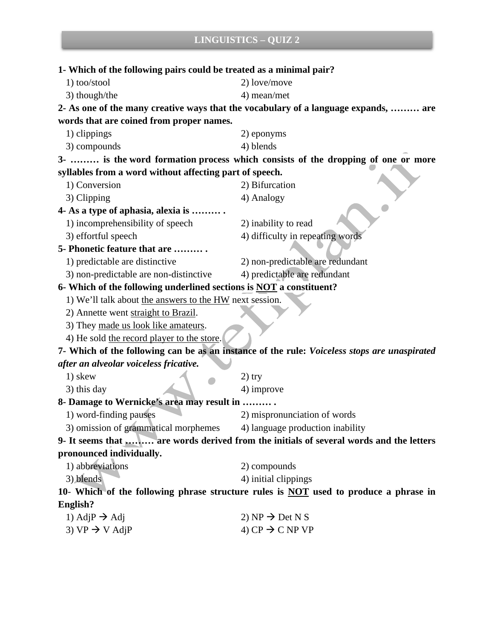| 1- Which of the following pairs could be treated as a minimal pair?<br>2- As one of the many creative ways that the vocabulary of a language expands,  are<br>3-  is the word formation process which consists of the dropping of one or more |
|-----------------------------------------------------------------------------------------------------------------------------------------------------------------------------------------------------------------------------------------------|
|                                                                                                                                                                                                                                               |
|                                                                                                                                                                                                                                               |
|                                                                                                                                                                                                                                               |
|                                                                                                                                                                                                                                               |
|                                                                                                                                                                                                                                               |
|                                                                                                                                                                                                                                               |
|                                                                                                                                                                                                                                               |
|                                                                                                                                                                                                                                               |
|                                                                                                                                                                                                                                               |
|                                                                                                                                                                                                                                               |
|                                                                                                                                                                                                                                               |
|                                                                                                                                                                                                                                               |
|                                                                                                                                                                                                                                               |
|                                                                                                                                                                                                                                               |
| 4) difficulty in repeating words                                                                                                                                                                                                              |
|                                                                                                                                                                                                                                               |
| 2) non-predictable are redundant                                                                                                                                                                                                              |
| 4) predictable are redundant                                                                                                                                                                                                                  |
| 6- Which of the following underlined sections is <b>NOT</b> a constituent?                                                                                                                                                                    |
|                                                                                                                                                                                                                                               |
|                                                                                                                                                                                                                                               |
|                                                                                                                                                                                                                                               |
|                                                                                                                                                                                                                                               |
| 7- Which of the following can be as an instance of the rule: Voiceless stops are unaspirated                                                                                                                                                  |
|                                                                                                                                                                                                                                               |
|                                                                                                                                                                                                                                               |
|                                                                                                                                                                                                                                               |
|                                                                                                                                                                                                                                               |
| 2) mispronunciation of words                                                                                                                                                                                                                  |
| 4) language production inability                                                                                                                                                                                                              |
| 9- It seems that  are words derived from the initials of several words and the letters                                                                                                                                                        |
|                                                                                                                                                                                                                                               |
|                                                                                                                                                                                                                                               |
|                                                                                                                                                                                                                                               |
| 10- Which of the following phrase structure rules is <b>NOT</b> used to produce a phrase in                                                                                                                                                   |
|                                                                                                                                                                                                                                               |
|                                                                                                                                                                                                                                               |
|                                                                                                                                                                                                                                               |
|                                                                                                                                                                                                                                               |

and the control of the control of the

the control of the control of the control of the control of the control of the control of the control of the control of the control of the control of the control of the control of the control of the control of the control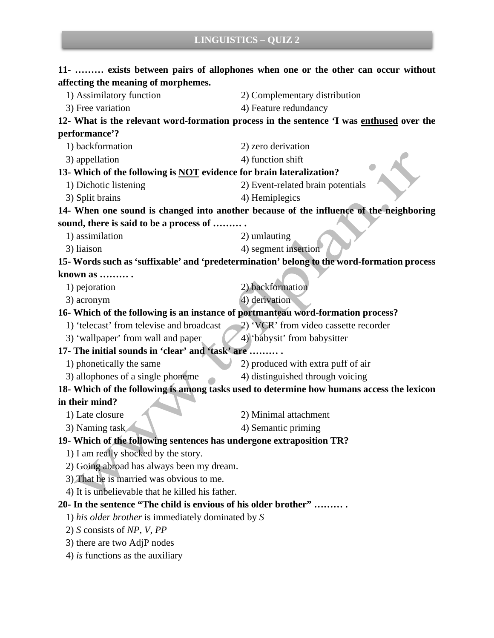| 11-  exists between pairs of allophones when one or the other can occur without            |                                       |
|--------------------------------------------------------------------------------------------|---------------------------------------|
| affecting the meaning of morphemes.                                                        |                                       |
| 1) Assimilatory function                                                                   | 2) Complementary distribution         |
| 3) Free variation                                                                          | 4) Feature redundancy                 |
| 12- What is the relevant word-formation process in the sentence 'I was enthused over the   |                                       |
| performance'?                                                                              |                                       |
| 1) backformation                                                                           | 2) zero derivation                    |
| 3) appellation                                                                             | 4) function shift                     |
| 13- Which of the following is <b>NOT</b> evidence for brain lateralization?                |                                       |
| 1) Dichotic listening                                                                      | 2) Event-related brain potentials     |
| 3) Split brains                                                                            | 4) Hemiplegics                        |
| 14- When one sound is changed into another because of the influence of the neighboring     |                                       |
| sound, there is said to be a process of                                                    |                                       |
| 1) assimilation                                                                            | 2) umlauting                          |
| 3) liaison                                                                                 | 4) segment insertion                  |
| 15- Words such as 'suffixable' and 'predetermination' belong to the word-formation process |                                       |
| known as                                                                                   |                                       |
| 1) pejoration                                                                              | 2) backformation                      |
| 3) acronym                                                                                 | 4) derivation                         |
| 16- Which of the following is an instance of portmanteau word-formation process?           |                                       |
| 1) 'telecast' from televise and broadcast                                                  | 2) 'VCR' from video cassette recorder |
| 3) 'wallpaper' from wall and paper                                                         | 4) 'babysit' from babysitter          |
| 17- The initial sounds in 'clear' and 'task' are                                           |                                       |
| 1) phonetically the same                                                                   | 2) produced with extra puff of air    |
| 3) allophones of a single phoneme                                                          | 4) distinguished through voicing      |
| 18- Which of the following is among tasks used to determine how humans access the lexicon  |                                       |
| in their mind?                                                                             |                                       |
| 1) Late closure                                                                            | 2) Minimal attachment                 |
| 3) Naming task                                                                             | 4) Semantic priming                   |
| 19- Which of the following sentences has undergone extraposition TR?                       |                                       |
| 1) I am really shocked by the story.                                                       |                                       |
| 2) Going abroad has always been my dream.                                                  |                                       |
| 3) That he is married was obvious to me.                                                   |                                       |
| 4) It is unbelievable that he killed his father.                                           |                                       |
| 20- In the sentence "The child is envious of his older brother"                            |                                       |
| 1) his older brother is immediately dominated by S                                         |                                       |
| 2) S consists of $NP$ , V, $PP$                                                            |                                       |
| 3) there are two AdjP nodes                                                                |                                       |
| 4) is functions as the auxiliary                                                           |                                       |